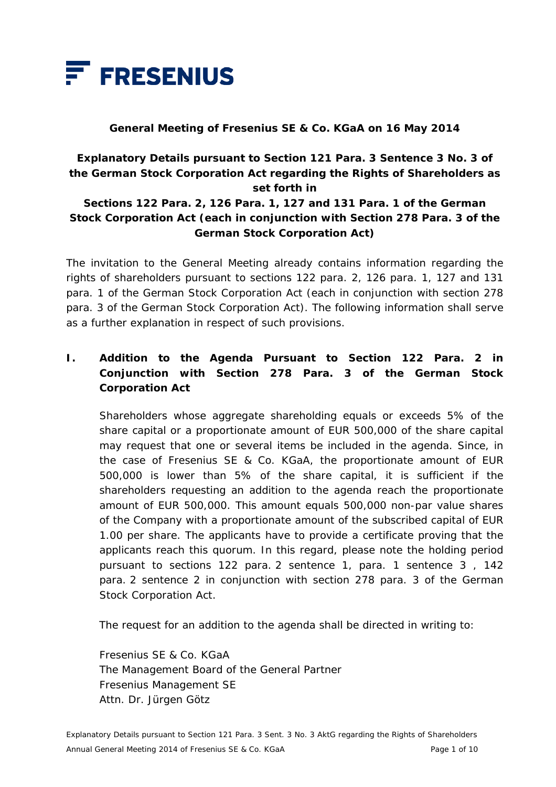

#### **General Meeting of Fresenius SE & Co. KGaA on 16 May 2014**

## **Explanatory Details pursuant to Section 121 Para. 3 Sentence 3 No. 3 of the German Stock Corporation Act regarding the Rights of Shareholders as set forth in**

### **Sections 122 Para. 2, 126 Para. 1, 127 and 131 Para. 1 of the German Stock Corporation Act (each in conjunction with Section 278 Para. 3 of the German Stock Corporation Act)**

The invitation to the General Meeting already contains information regarding the rights of shareholders pursuant to sections 122 para. 2, 126 para. 1, 127 and 131 para. 1 of the German Stock Corporation Act (each in conjunction with section 278 para. 3 of the German Stock Corporation Act). The following information shall serve as a further explanation in respect of such provisions.

## **I. Addition to the Agenda Pursuant to Section 122 Para. 2 in Conjunction with Section 278 Para. 3 of the German Stock Corporation Act**

 Shareholders whose aggregate shareholding equals or exceeds 5% of the share capital or a proportionate amount of EUR 500,000 of the share capital may request that one or several items be included in the agenda. Since, in the case of Fresenius SE & Co. KGaA, the proportionate amount of EUR 500,000 is lower than 5% of the share capital, it is sufficient if the shareholders requesting an addition to the agenda reach the proportionate amount of EUR 500,000. This amount equals 500,000 non-par value shares of the Company with a proportionate amount of the subscribed capital of EUR 1.00 per share. The applicants have to provide a certificate proving that the applicants reach this quorum. In this regard, please note the holding period pursuant to sections 122 para. 2 sentence 1, para. 1 sentence 3 , 142 para. 2 sentence 2 in conjunction with section 278 para. 3 of the German Stock Corporation Act.

The request for an addition to the agenda shall be directed in writing to:

 Fresenius SE & Co. KGaA The Management Board of the General Partner Fresenius Management SE Attn. Dr. Jürgen Götz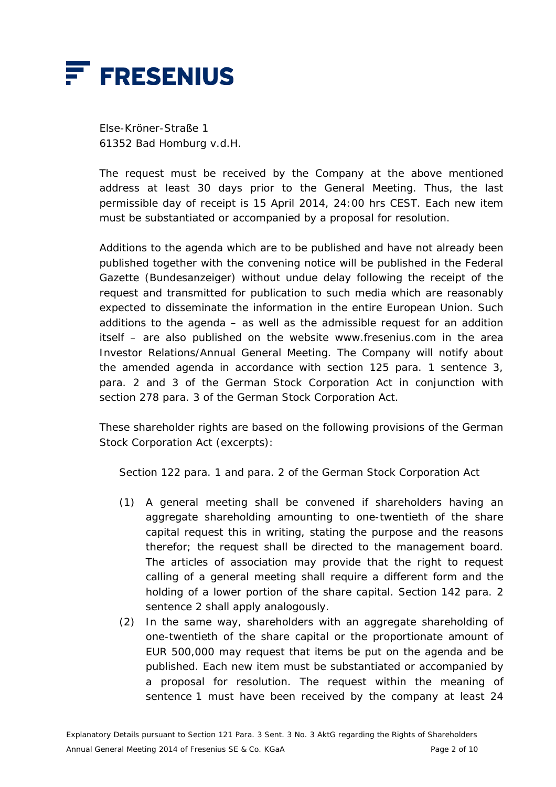

 Else-Kröner-Straße 1 61352 Bad Homburg v.d.H.

 The request must be received by the Company at the above mentioned address at least 30 days prior to the General Meeting. Thus, the last permissible day of receipt is 15 April 2014, 24:00 hrs CEST. Each new item must be substantiated or accompanied by a proposal for resolution.

 Additions to the agenda which are to be published and have not already been published together with the convening notice will be published in the Federal Gazette (*Bundesanzeiger*) without undue delay following the receipt of the request and transmitted for publication to such media which are reasonably expected to disseminate the information in the entire European Union. Such additions to the agenda  $-$  as well as the admissible request for an addition itself – are also published on the website www.fresenius.com in the area Investor Relations/Annual General Meeting. The Company will notify about the amended agenda in accordance with section 125 para. 1 sentence 3, para. 2 and 3 of the German Stock Corporation Act in conjunction with section 278 para. 3 of the German Stock Corporation Act.

 These shareholder rights are based on the following provisions of the German Stock Corporation Act (excerpts):

Section 122 para. 1 and para. 2 of the German Stock Corporation Act

- (1) A general meeting shall be convened if shareholders having an aggregate shareholding amounting to one-twentieth of the share capital request this in writing, stating the purpose and the reasons therefor; the request shall be directed to the management board. The articles of association may provide that the right to request calling of a general meeting shall require a different form and the holding of a lower portion of the share capital. Section 142 para. 2 sentence 2 shall apply analogously.
- (2) In the same way, shareholders with an aggregate shareholding of one-twentieth of the share capital or the proportionate amount of EUR 500,000 may request that items be put on the agenda and be published. Each new item must be substantiated or accompanied by a proposal for resolution. The request within the meaning of sentence 1 must have been received by the company at least 24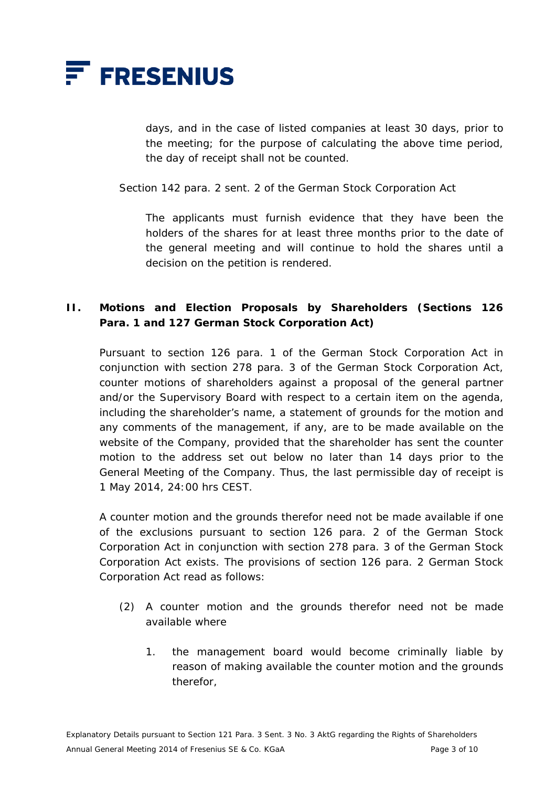

days, and in the case of listed companies at least 30 days, prior to the meeting; for the purpose of calculating the above time period, the day of receipt shall not be counted.

Section 142 para. 2 sent. 2 of the German Stock Corporation Act

 The applicants must furnish evidence that they have been the holders of the shares for at least three months prior to the date of the general meeting and will continue to hold the shares until a decision on the petition is rendered.

### **II. Motions and Election Proposals by Shareholders (Sections 126 Para. 1 and 127 German Stock Corporation Act)**

 Pursuant to section 126 para. 1 of the German Stock Corporation Act in conjunction with section 278 para. 3 of the German Stock Corporation Act, counter motions of shareholders against a proposal of the general partner and/or the Supervisory Board with respect to a certain item on the agenda, including the shareholder's name, a statement of grounds for the motion and any comments of the management, if any, are to be made available on the website of the Company, provided that the shareholder has sent the counter motion to the address set out below no later than 14 days prior to the General Meeting of the Company. Thus, the last permissible day of receipt is 1 May 2014, 24:00 hrs CEST.

 A counter motion and the grounds therefor need not be made available if one of the exclusions pursuant to section 126 para. 2 of the German Stock Corporation Act in conjunction with section 278 para. 3 of the German Stock Corporation Act exists. The provisions of section 126 para. 2 German Stock Corporation Act read as follows:

- (2) A counter motion and the grounds therefor need not be made available where
	- 1. the management board would become criminally liable by reason of making available the counter motion and the grounds therefor,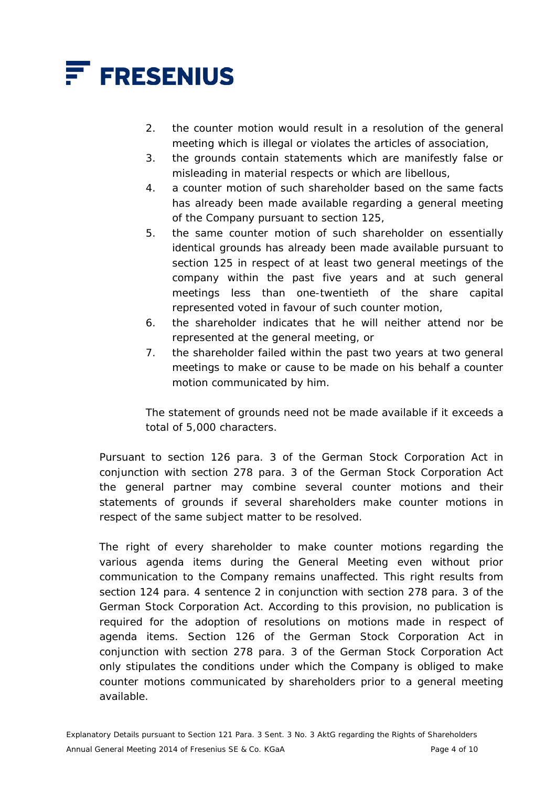

- 2. the counter motion would result in a resolution of the general meeting which is illegal or violates the articles of association,
- 3. the grounds contain statements which are manifestly false or misleading in material respects or which are libellous,
- 4. a counter motion of such shareholder based on the same facts has already been made available regarding a general meeting of the Company pursuant to section 125,
- 5. the same counter motion of such shareholder on essentially identical grounds has already been made available pursuant to section 125 in respect of at least two general meetings of the company within the past five years and at such general meetings less than one-twentieth of the share capital represented voted in favour of such counter motion,
- 6. the shareholder indicates that he will neither attend nor be represented at the general meeting, or
- 7. the shareholder failed within the past two years at two general meetings to make or cause to be made on his behalf a counter motion communicated by him.

 The statement of grounds need not be made available if it exceeds a total of 5,000 characters.

 Pursuant to section 126 para. 3 of the German Stock Corporation Act in conjunction with section 278 para. 3 of the German Stock Corporation Act the general partner may combine several counter motions and their statements of grounds if several shareholders make counter motions in respect of the same subject matter to be resolved.

The right of every shareholder to make counter motions regarding the various agenda items during the General Meeting even without prior communication to the Company remains unaffected. This right results from section 124 para. 4 sentence 2 in conjunction with section 278 para. 3 of the German Stock Corporation Act. According to this provision, no publication is required for the adoption of resolutions on motions made in respect of agenda items. Section 126 of the German Stock Corporation Act in conjunction with section 278 para. 3 of the German Stock Corporation Act only stipulates the conditions under which the Company is obliged to make counter motions communicated by shareholders prior to a general meeting available.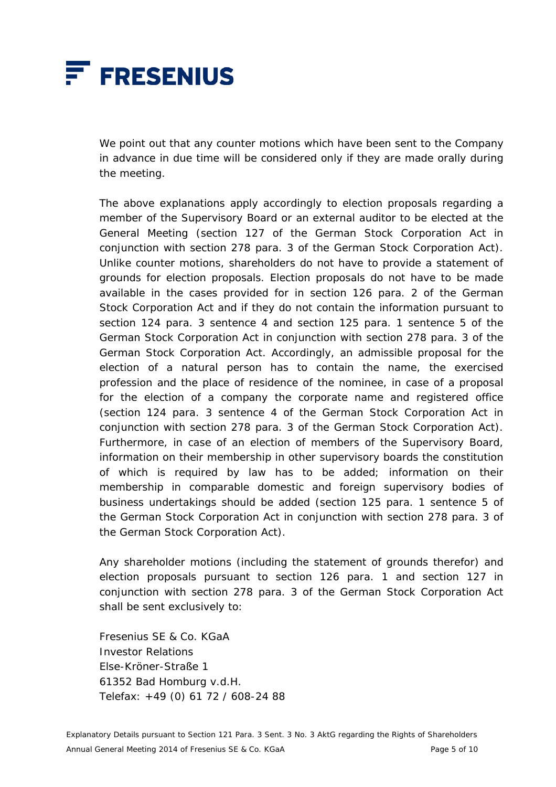

 We point out that any counter motions which have been sent to the Company in advance in due time will be considered only if they are made orally during the meeting.

 The above explanations apply accordingly to election proposals regarding a member of the Supervisory Board or an external auditor to be elected at the General Meeting (section 127 of the German Stock Corporation Act in conjunction with section 278 para. 3 of the German Stock Corporation Act). Unlike counter motions, shareholders do not have to provide a statement of grounds for election proposals. Election proposals do not have to be made available in the cases provided for in section 126 para. 2 of the German Stock Corporation Act and if they do not contain the information pursuant to section 124 para. 3 sentence 4 and section 125 para. 1 sentence 5 of the German Stock Corporation Act in conjunction with section 278 para. 3 of the German Stock Corporation Act. Accordingly, an admissible proposal for the election of a natural person has to contain the name, the exercised profession and the place of residence of the nominee, in case of a proposal for the election of a company the corporate name and registered office (section 124 para. 3 sentence 4 of the German Stock Corporation Act in conjunction with section 278 para. 3 of the German Stock Corporation Act). Furthermore, in case of an election of members of the Supervisory Board, information on their membership in other supervisory boards the constitution of which is required by law has to be added; information on their membership in comparable domestic and foreign supervisory bodies of business undertakings should be added (section 125 para. 1 sentence 5 of the German Stock Corporation Act in conjunction with section 278 para. 3 of the German Stock Corporation Act).

 Any shareholder motions (including the statement of grounds therefor) and election proposals pursuant to section 126 para. 1 and section 127 in conjunction with section 278 para. 3 of the German Stock Corporation Act shall be sent exclusively to:

 Fresenius SE & Co. KGaA Investor Relations Else-Kröner-Straße 1 61352 Bad Homburg v.d.H. Telefax: +49 (0) 61 72 / 608-24 88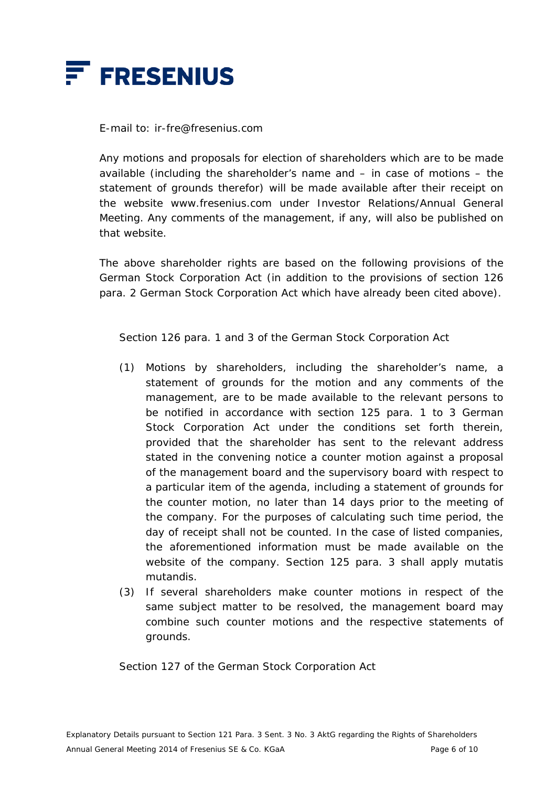

E-mail to: ir-fre@fresenius.com

 Any motions and proposals for election of shareholders which are to be made available (including the shareholder's name and – in case of motions – the statement of grounds therefor) will be made available after their receipt on the website www.fresenius.com under Investor Relations/Annual General Meeting. Any comments of the management, if any, will also be published on that website.

 The above shareholder rights are based on the following provisions of the German Stock Corporation Act (in addition to the provisions of section 126 para. 2 German Stock Corporation Act which have already been cited above).

Section 126 para. 1 and 3 of the German Stock Corporation Act

- (1) Motions by shareholders, including the shareholder's name, a statement of grounds for the motion and any comments of the management, are to be made available to the relevant persons to be notified in accordance with section 125 para. 1 to 3 German Stock Corporation Act under the conditions set forth therein, provided that the shareholder has sent to the relevant address stated in the convening notice a counter motion against a proposal of the management board and the supervisory board with respect to a particular item of the agenda, including a statement of grounds for the counter motion, no later than 14 days prior to the meeting of the company. For the purposes of calculating such time period, the day of receipt shall not be counted. In the case of listed companies, the aforementioned information must be made available on the website of the company. Section 125 para. 3 shall apply mutatis mutandis.
- (3) If several shareholders make counter motions in respect of the same subject matter to be resolved, the management board may combine such counter motions and the respective statements of grounds.

Section 127 of the German Stock Corporation Act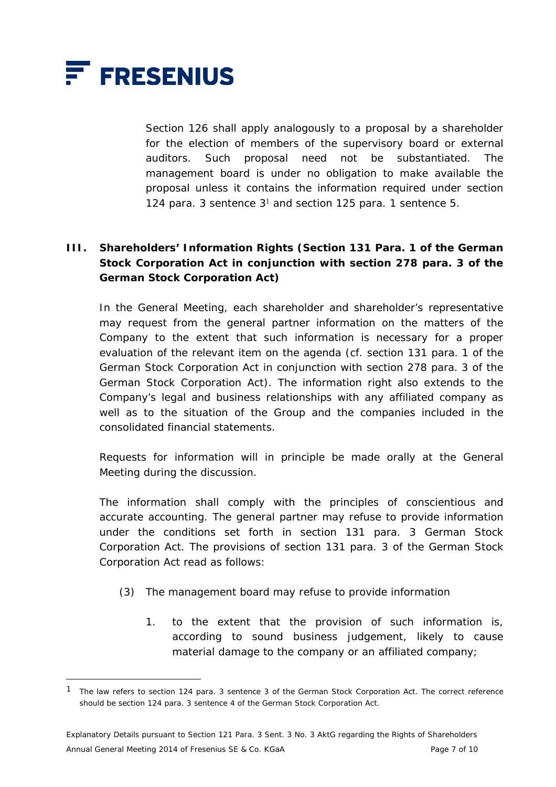

 $\overline{a}$ 

 Section 126 shall apply analogously to a proposal by a shareholder for the election of members of the supervisory board or external auditors. Such proposal need not be substantiated. The management board is under no obligation to make available the proposal unless it contains the information required under section 124 para. 3 sentence  $3<sup>1</sup>$  and section 125 para. 1 sentence 5.

# **III. Shareholders' Information Rights (Section 131 Para. 1 of the German Stock Corporation Act in conjunction with section 278 para. 3 of the German Stock Corporation Act)**

 In the General Meeting, each shareholder and shareholder's representative may request from the general partner information on the matters of the Company to the extent that such information is necessary for a proper evaluation of the relevant item on the agenda (cf. section 131 para. 1 of the German Stock Corporation Act in conjunction with section 278 para. 3 of the German Stock Corporation Act). The information right also extends to the Company's legal and business relationships with any affiliated company as well as to the situation of the Group and the companies included in the consolidated financial statements.

 Requests for information will in principle be made orally at the General Meeting during the discussion.

 The information shall comply with the principles of conscientious and accurate accounting. The general partner may refuse to provide information under the conditions set forth in section 131 para. 3 German Stock Corporation Act. The provisions of section 131 para. 3 of the German Stock Corporation Act read as follows:

- (3) The management board may refuse to provide information
	- 1. to the extent that the provision of such information is, according to sound business judgement, likely to cause material damage to the company or an affiliated company;

<sup>1</sup> The law refers to section 124 para. 3 sentence 3 of the German Stock Corporation Act. The correct reference should be section 124 para. 3 sentence 4 of the German Stock Corporation Act.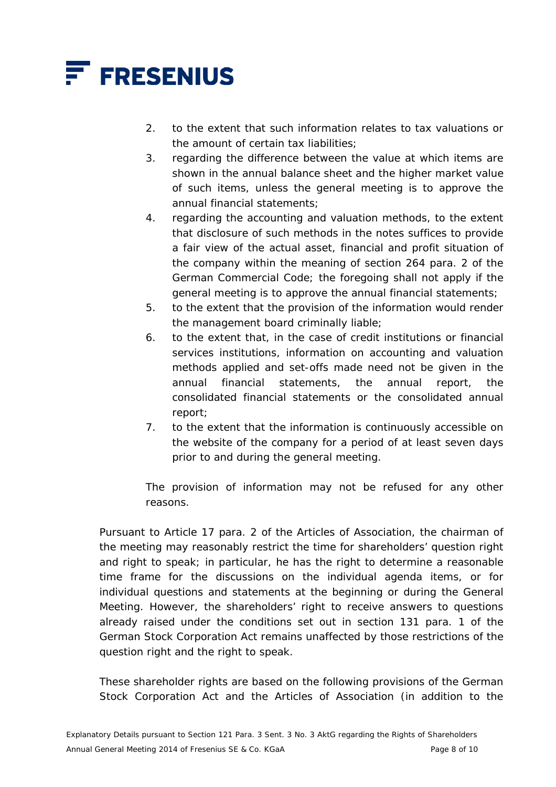

- 2. to the extent that such information relates to tax valuations or the amount of certain tax liabilities;
- 3. regarding the difference between the value at which items are shown in the annual balance sheet and the higher market value of such items, unless the general meeting is to approve the annual financial statements;
- 4. regarding the accounting and valuation methods, to the extent that disclosure of such methods in the notes suffices to provide a fair view of the actual asset, financial and profit situation of the company within the meaning of section 264 para. 2 of the German Commercial Code; the foregoing shall not apply if the general meeting is to approve the annual financial statements;
- 5. to the extent that the provision of the information would render the management board criminally liable;
- 6. to the extent that, in the case of credit institutions or financial services institutions, information on accounting and valuation methods applied and set-offs made need not be given in the annual financial statements, the annual report, the consolidated financial statements or the consolidated annual report;
- 7. to the extent that the information is continuously accessible on the website of the company for a period of at least seven days prior to and during the general meeting.

 The provision of information may not be refused for any other reasons.

 Pursuant to Article 17 para. 2 of the Articles of Association, the chairman of the meeting may reasonably restrict the time for shareholders' question right and right to speak; in particular, he has the right to determine a reasonable time frame for the discussions on the individual agenda items, or for individual questions and statements at the beginning or during the General Meeting. However, the shareholders' right to receive answers to questions already raised under the conditions set out in section 131 para. 1 of the German Stock Corporation Act remains unaffected by those restrictions of the question right and the right to speak.

 These shareholder rights are based on the following provisions of the German Stock Corporation Act and the Articles of Association (in addition to the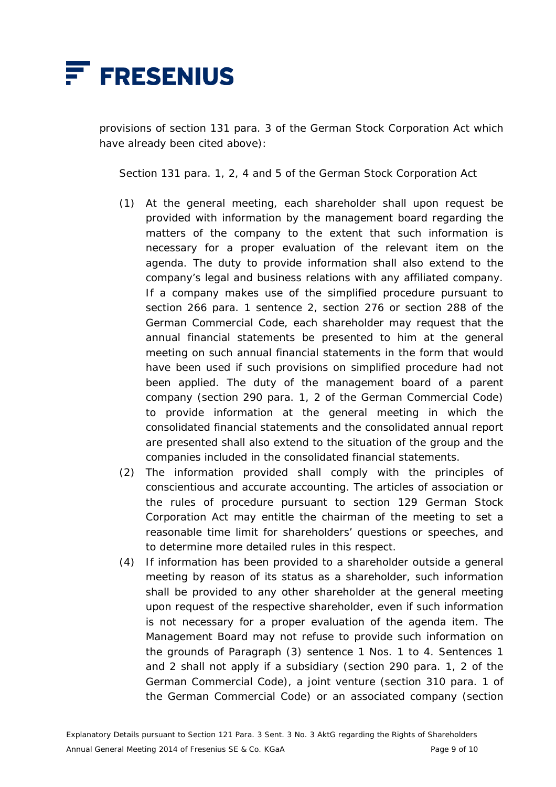

provisions of section 131 para. 3 of the German Stock Corporation Act which have already been cited above):

Section 131 para. 1, 2, 4 and 5 of the German Stock Corporation Act

- (1) At the general meeting, each shareholder shall upon request be provided with information by the management board regarding the matters of the company to the extent that such information is necessary for a proper evaluation of the relevant item on the agenda. The duty to provide information shall also extend to the company's legal and business relations with any affiliated company. If a company makes use of the simplified procedure pursuant to section 266 para. 1 sentence 2, section 276 or section 288 of the German Commercial Code, each shareholder may request that the annual financial statements be presented to him at the general meeting on such annual financial statements in the form that would have been used if such provisions on simplified procedure had not been applied. The duty of the management board of a parent company (section 290 para. 1, 2 of the German Commercial Code) to provide information at the general meeting in which the consolidated financial statements and the consolidated annual report are presented shall also extend to the situation of the group and the companies included in the consolidated financial statements.
- (2) The information provided shall comply with the principles of conscientious and accurate accounting. The articles of association or the rules of procedure pursuant to section 129 German Stock Corporation Act may entitle the chairman of the meeting to set a reasonable time limit for shareholders' questions or speeches, and to determine more detailed rules in this respect.
- (4) If information has been provided to a shareholder outside a general meeting by reason of its status as a shareholder, such information shall be provided to any other shareholder at the general meeting upon request of the respective shareholder, even if such information is not necessary for a proper evaluation of the agenda item. The Management Board may not refuse to provide such information on the grounds of Paragraph (3) sentence 1 Nos. 1 to 4. Sentences 1 and 2 shall not apply if a subsidiary (section 290 para. 1, 2 of the German Commercial Code), a joint venture (section 310 para. 1 of the German Commercial Code) or an associated company (section